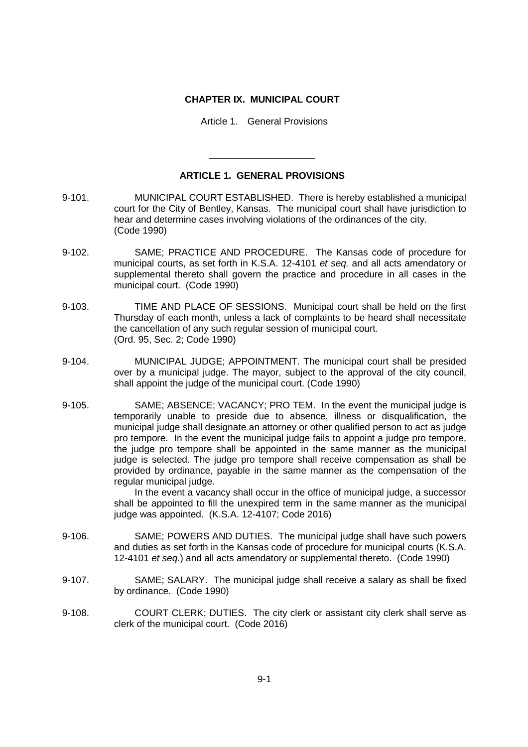## **CHAPTER IX. MUNICIPAL COURT**

Article 1. General Provisions

## **ARTICLE 1. GENERAL PROVISIONS**

\_\_\_\_\_\_\_\_\_\_\_\_\_\_\_\_\_\_\_\_

- 9-101. MUNICIPAL COURT ESTABLISHED. There is hereby established a municipal court for the City of Bentley, Kansas. The municipal court shall have jurisdiction to hear and determine cases involving violations of the ordinances of the city. (Code 1990)
- 9-102. SAME; PRACTICE AND PROCEDURE. The Kansas code of procedure for municipal courts, as set forth in K.S.A. 12-4101 *et seq.* and all acts amendatory or supplemental thereto shall govern the practice and procedure in all cases in the municipal court. (Code 1990)
- 9-103. TIME AND PLACE OF SESSIONS. Municipal court shall be held on the first Thursday of each month, unless a lack of complaints to be heard shall necessitate the cancellation of any such regular session of municipal court. (Ord. 95, Sec. 2; Code 1990)
- 9-104. MUNICIPAL JUDGE; APPOINTMENT. The municipal court shall be presided over by a municipal judge. The mayor, subject to the approval of the city council, shall appoint the judge of the municipal court. (Code 1990)
- 9-105. SAME; ABSENCE; VACANCY; PRO TEM. In the event the municipal judge is temporarily unable to preside due to absence, illness or disqualification, the municipal judge shall designate an attorney or other qualified person to act as judge pro tempore. In the event the municipal judge fails to appoint a judge pro tempore, the judge pro tempore shall be appointed in the same manner as the municipal judge is selected. The judge pro tempore shall receive compensation as shall be provided by ordinance, payable in the same manner as the compensation of the regular municipal judge.

In the event a vacancy shall occur in the office of municipal judge, a successor shall be appointed to fill the unexpired term in the same manner as the municipal judge was appointed. (K.S.A. 12-4107; Code 2016)

- 9-106. SAME; POWERS AND DUTIES. The municipal judge shall have such powers and duties as set forth in the Kansas code of procedure for municipal courts (K.S.A. 12-4101 *et seq.*) and all acts amendatory or supplemental thereto. (Code 1990)
- 9-107. SAME; SALARY. The municipal judge shall receive a salary as shall be fixed by ordinance. (Code 1990)
- 9-108. COURT CLERK; DUTIES. The city clerk or assistant city clerk shall serve as clerk of the municipal court. (Code 2016)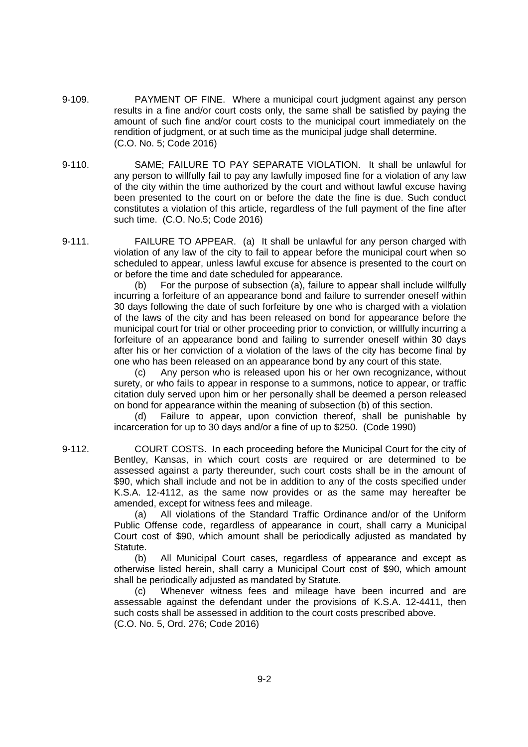- 9-109. PAYMENT OF FINE. Where a municipal court judgment against any person results in a fine and/or court costs only, the same shall be satisfied by paying the amount of such fine and/or court costs to the municipal court immediately on the rendition of judgment, or at such time as the municipal judge shall determine. (C.O. No. 5; Code 2016)
- 9-110. SAME; FAILURE TO PAY SEPARATE VIOLATION. It shall be unlawful for any person to willfully fail to pay any lawfully imposed fine for a violation of any law of the city within the time authorized by the court and without lawful excuse having been presented to the court on or before the date the fine is due. Such conduct constitutes a violation of this article, regardless of the full payment of the fine after such time. (C.O. No.5; Code 2016)
- 9-111. FAILURE TO APPEAR. (a) It shall be unlawful for any person charged with violation of any law of the city to fail to appear before the municipal court when so scheduled to appear, unless lawful excuse for absence is presented to the court on or before the time and date scheduled for appearance.

(b) For the purpose of subsection (a), failure to appear shall include willfully incurring a forfeiture of an appearance bond and failure to surrender oneself within 30 days following the date of such forfeiture by one who is charged with a violation of the laws of the city and has been released on bond for appearance before the municipal court for trial or other proceeding prior to conviction, or willfully incurring a forfeiture of an appearance bond and failing to surrender oneself within 30 days after his or her conviction of a violation of the laws of the city has become final by one who has been released on an appearance bond by any court of this state.

(c) Any person who is released upon his or her own recognizance, without surety, or who fails to appear in response to a summons, notice to appear, or traffic citation duly served upon him or her personally shall be deemed a person released on bond for appearance within the meaning of subsection (b) of this section.

(d) Failure to appear, upon conviction thereof, shall be punishable by incarceration for up to 30 days and/or a fine of up to \$250. (Code 1990)

9-112. COURT COSTS. In each proceeding before the Municipal Court for the city of Bentley, Kansas, in which court costs are required or are determined to be assessed against a party thereunder, such court costs shall be in the amount of \$90, which shall include and not be in addition to any of the costs specified under K.S.A. 12-4112, as the same now provides or as the same may hereafter be amended, except for witness fees and mileage.

(a) All violations of the Standard Traffic Ordinance and/or of the Uniform Public Offense code, regardless of appearance in court, shall carry a Municipal Court cost of \$90, which amount shall be periodically adjusted as mandated by Statute.

(b) All Municipal Court cases, regardless of appearance and except as otherwise listed herein, shall carry a Municipal Court cost of \$90, which amount shall be periodically adjusted as mandated by Statute.

(c) Whenever witness fees and mileage have been incurred and are assessable against the defendant under the provisions of K.S.A. 12-4411, then such costs shall be assessed in addition to the court costs prescribed above. (C.O. No. 5, Ord. 276; Code 2016)